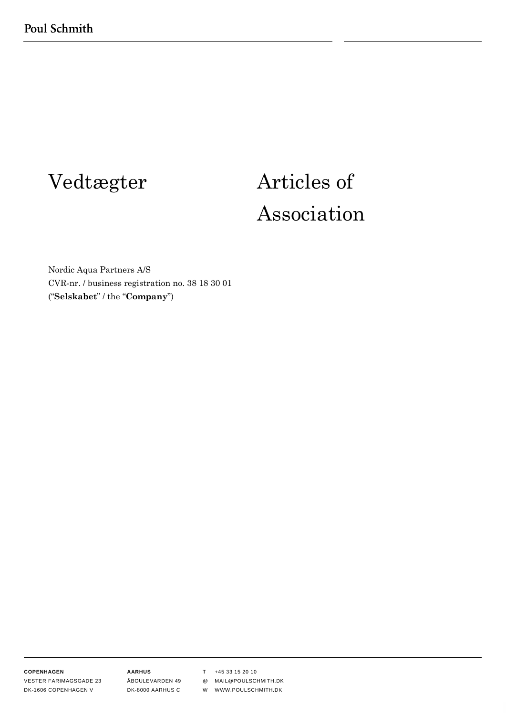# Vedtægter Articles of Association

Nordic Aqua Partners A/S CVR-nr. / business registration no. 38 18 30 01 ("**Selskabet**" / the "**Company**")

**COPENHAGEN**

VESTER FARIMAGSGADE 23 DK-1606 COPENHAGEN V

**AARHUS** ÅBOULEVARDEN 49 DK-8000 AARHUS C

T +45 33 15 20 10

@ MAIL@POULSCHMITH.DK

W WWW.POULSCHMITH.DK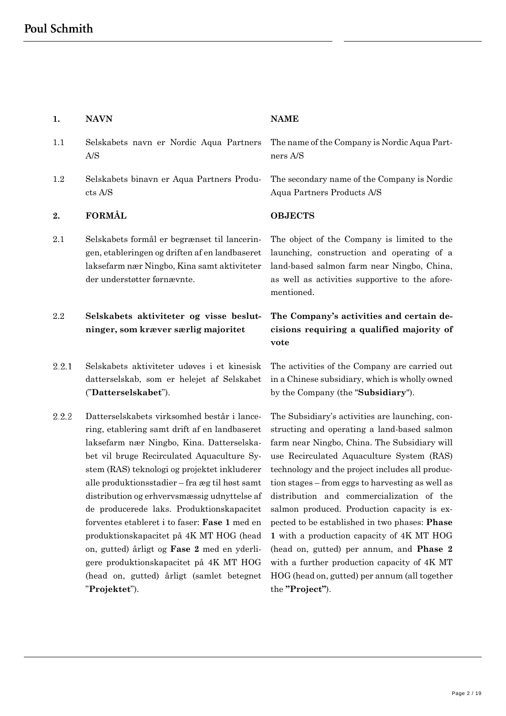# **1. NAVN NAME**

- 1.1 Selskabets navn er Nordic Aqua Partners A/S
- 1.2 Selskabets binavn er Aqua Partners Products A/S

# <span id="page-1-0"></span>**2. FORMÅL OBJECTS**

2.1 Selskabets formål er begrænset til lanceringen, etableringen og driften af en landbaseret laksefarm nær Ningbo, Kina samt aktiviteter der understøtter førnævnte.

# 2.2 **Selskabets aktiviteter og visse beslutninger, som kræver særlig majoritet**

- $2.2.1$ Selskabets aktiviteter udøves i et kinesisk datterselskab, som er helejet af Selskabet ("**Datterselskabet**").
- 2.2.2 Datterselskabets virksomhed består i lancering, etablering samt drift af en landbaseret laksefarm nær Ningbo, Kina. Datterselskabet vil bruge Recirculated Aquaculture System (RAS) teknologi og projektet inkluderer alle produktionsstadier – fra æg til høst samt distribution og erhvervsmæssig udnyttelse af de producerede laks. Produktionskapacitet forventes etableret i to faser: **Fase 1** med en produktionskapacitet på 4K MT HOG (head on, gutted) årligt og **Fase 2** med en yderligere produktionskapacitet på 4K MT HOG (head on, gutted) årligt (samlet betegnet "**Projektet**").

The name of the Company is Nordic Aqua Partners A/S

The secondary name of the Company is Nordic Aqua Partners Products A/S

The object of the Company is limited to the launching, construction and operating of a land-based salmon farm near Ningbo, China, as well as activities supportive to the aforementioned.

# **The Company's activities and certain decisions requiring a qualified majority of vote**

The activities of the Company are carried out in a Chinese subsidiary, which is wholly owned by the Company (the "**Subsidiary**").

The Subsidiary's activities are launching, constructing and operating a land-based salmon farm near Ningbo, China. The Subsidiary will use Recirculated Aquaculture System (RAS) technology and the project includes all production stages – from eggs to harvesting as well as distribution and commercialization of the salmon produced. Production capacity is expected to be established in two phases: **Phase 1** with a production capacity of 4K MT HOG (head on, gutted) per annum, and **Phase 2** with a further production capacity of 4K MT HOG (head on, gutted) per annum (all together the **"Project"**).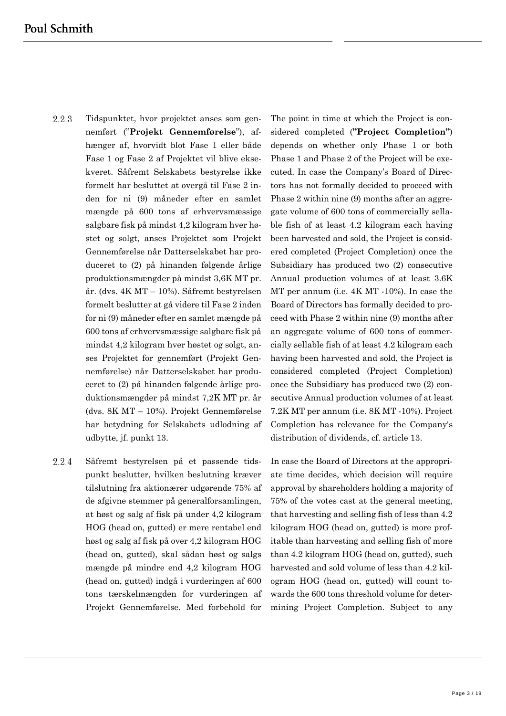- 2.2.3 Tidspunktet, hvor projektet anses som gennemført ("**Projekt Gennemførelse**"), afhænger af, hvorvidt blot Fase 1 eller både Fase 1 og Fase 2 af Projektet vil blive eksekveret. Såfremt Selskabets bestyrelse ikke formelt har besluttet at overgå til Fase 2 inden for ni (9) måneder efter en samlet mængde på 600 tons af erhvervsmæssige salgbare fisk på mindst 4,2 kilogram hver høstet og solgt, anses Projektet som Projekt Gennemførelse når Datterselskabet har produceret to (2) på hinanden følgende årlige produktionsmængder på mindst 3,6K MT pr. år. (dvs. 4K MT – 10%). Såfremt bestyrelsen formelt beslutter at gå videre til Fase 2 inden for ni (9) måneder efter en samlet mængde på 600 tons af erhvervsmæssige salgbare fisk på mindst 4,2 kilogram hver høstet og solgt, anses Projektet for gennemført (Projekt Gennemførelse) når Datterselskabet har produceret to (2) på hinanden følgende årlige produktionsmængder på mindst 7,2K MT pr. år (dvs. 8K MT – 10%). Projekt Gennemførelse har betydning for Selskabets udlodning af udbytte, jf. punkt 13.
- 2.2.4 Såfremt bestyrelsen på et passende tidspunkt beslutter, hvilken beslutning kræver tilslutning fra aktionærer udgørende 75% af de afgivne stemmer på generalforsamlingen, at høst og salg af fisk på under 4,2 kilogram HOG (head on, gutted) er mere rentabel end høst og salg af fisk på over 4,2 kilogram HOG (head on, gutted), skal sådan høst og salgs mængde på mindre end 4,2 kilogram HOG (head on, gutted) indgå i vurderingen af 600 tons tærskelmængden for vurderingen af Projekt Gennemførelse. Med forbehold for

The point in time at which the Project is considered completed (**"Project Completion"**) depends on whether only Phase 1 or both Phase 1 and Phase 2 of the Project will be executed. In case the Company's Board of Directors has not formally decided to proceed with Phase 2 within nine (9) months after an aggregate volume of 600 tons of commercially sellable fish of at least 4.2 kilogram each having been harvested and sold, the Project is considered completed (Project Completion) once the Subsidiary has produced two (2) consecutive Annual production volumes of at least 3.6K MT per annum (i.e. 4K MT -10%). In case the Board of Directors has formally decided to proceed with Phase 2 within nine (9) months after an aggregate volume of 600 tons of commercially sellable fish of at least 4.2 kilogram each having been harvested and sold, the Project is considered completed (Project Completion) once the Subsidiary has produced two (2) consecutive Annual production volumes of at least 7.2K MT per annum (i.e. 8K MT -10%). Project Completion has relevance for the Company's distribution of dividends, cf. article 13.

In case the Board of Directors at the appropriate time decides, which decision will require approval by shareholders holding a majority of 75% of the votes cast at the general meeting, that harvesting and selling fish of less than 4.2 kilogram HOG (head on, gutted) is more profitable than harvesting and selling fish of more than 4.2 kilogram HOG (head on, gutted), such harvested and sold volume of less than 4.2 kilogram HOG (head on, gutted) will count towards the 600 tons threshold volume for determining Project Completion. Subject to any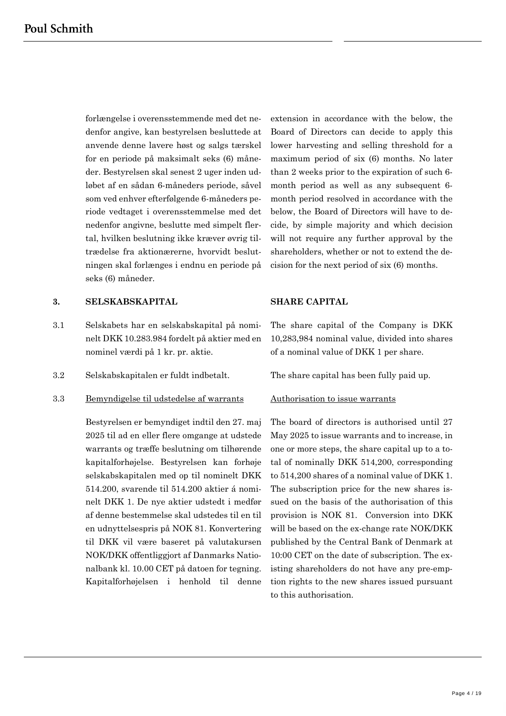forlængelse i overensstemmende med det nedenfor angive, kan bestyrelsen besluttede at anvende denne lavere høst og salgs tærskel for en periode på maksimalt seks (6) måneder. Bestyrelsen skal senest 2 uger inden udløbet af en sådan 6-måneders periode, såvel som ved enhver efterfølgende 6-måneders periode vedtaget i overensstemmelse med det nedenfor angivne, beslutte med simpelt flertal, hvilken beslutning ikke kræver øvrig tiltrædelse fra aktionærerne, hvorvidt beslutningen skal forlænges i endnu en periode på seks (6) måneder.

extension in accordance with the below, the Board of Directors can decide to apply this lower harvesting and selling threshold for a maximum period of six (6) months. No later than 2 weeks prior to the expiration of such 6 month period as well as any subsequent 6 month period resolved in accordance with the below, the Board of Directors will have to decide, by simple majority and which decision will not require any further approval by the shareholders, whether or not to extend the decision for the next period of six (6) months.

# **3. SELSKABSKAPITAL SHARE CAPITAL**

- 3.1 Selskabets har en selskabskapital på nominelt DKK 10.283.984 fordelt på aktier med en nominel værdi på 1 kr. pr. aktie.
- 3.2 Selskabskapitalen er fuldt indbetalt. The share capital has been fully paid up.

### 3.3 Bemyndigelse til udstedelse af warrants

Bestyrelsen er bemyndiget indtil den 27. maj 2025 til ad en eller flere omgange at udstede warrants og træffe beslutning om tilhørende kapitalforhøjelse. Bestyrelsen kan forhøje selskabskapitalen med op til nominelt DKK 514.200, svarende til 514.200 aktier á nominelt DKK 1. De nye aktier udstedt i medfør af denne bestemmelse skal udstedes til en til en udnyttelsespris på NOK 81. Konvertering til DKK vil være baseret på valutakursen NOK/DKK offentliggjort af Danmarks Nationalbank kl. 10.00 CET på datoen for tegning. Kapitalforhøjelsen i henhold til denne

The share capital of the Company is DKK 10,283,984 nominal value, divided into shares of a nominal value of DKK 1 per share.

### Authorisation to issue warrants

The board of directors is authorised until 27 May 2025 to issue warrants and to increase, in one or more steps, the share capital up to a total of nominally DKK 514,200, corresponding to 514,200 shares of a nominal value of DKK 1. The subscription price for the new shares issued on the basis of the authorisation of this provision is NOK 81. Conversion into DKK will be based on the ex-change rate NOK/DKK published by the Central Bank of Denmark at 10:00 CET on the date of subscription. The existing shareholders do not have any pre-emption rights to the new shares issued pursuant to this authorisation.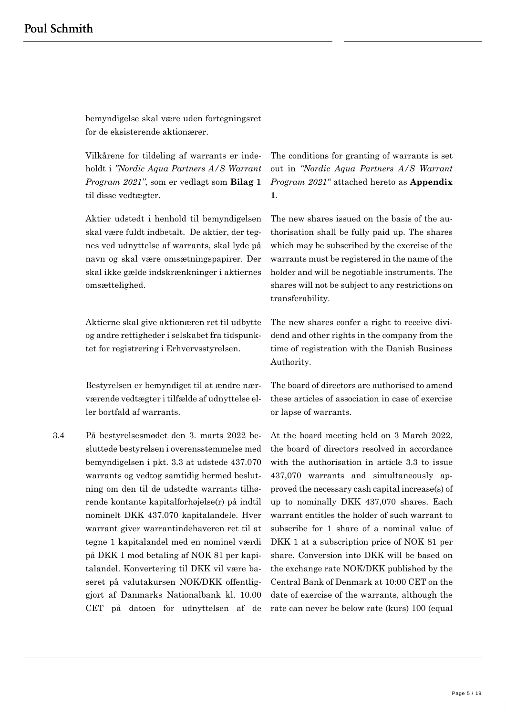bemyndigelse skal være uden fortegningsret for de eksisterende aktionærer.

Vilkårene for tildeling af warrants er indeholdt i *"Nordic Aqua Partners A/S Warrant Program 2021"*, som er vedlagt som **Bilag 1** til disse vedtægter.

Aktier udstedt i henhold til bemyndigelsen skal være fuldt indbetalt. De aktier, der tegnes ved udnyttelse af warrants, skal lyde på navn og skal være omsætningspapirer. Der skal ikke gælde indskrænkninger i aktiernes omsættelighed.

Aktierne skal give aktionæren ret til udbytte og andre rettigheder i selskabet fra tidspunktet for registrering i Erhvervsstyrelsen.

Bestyrelsen er bemyndiget til at ændre nærværende vedtægter i tilfælde af udnyttelse eller bortfald af warrants.

3.4 På bestyrelsesmødet den 3. marts 2022 besluttede bestyrelsen i overensstemmelse med bemyndigelsen i pkt. 3.3 at udstede 437.070 warrants og vedtog samtidig hermed beslutning om den til de udstedte warrants tilhørende kontante kapitalforhøjelse(r) på indtil nominelt DKK 437.070 kapitalandele. Hver warrant giver warrantindehaveren ret til at tegne 1 kapitalandel med en nominel værdi på DKK 1 mod betaling af NOK 81 per kapitalandel. Konvertering til DKK vil være baseret på valutakursen NOK/DKK offentliggjort af Danmarks Nationalbank kl. 10.00 CET på datoen for udnyttelsen af de

The conditions for granting of warrants is set out in *"Nordic Aqua Partners A/S Warrant Program 2021"* attached hereto as **Appendix 1**.

The new shares issued on the basis of the authorisation shall be fully paid up. The shares which may be subscribed by the exercise of the warrants must be registered in the name of the holder and will be negotiable instruments. The shares will not be subject to any restrictions on transferability.

The new shares confer a right to receive dividend and other rights in the company from the time of registration with the Danish Business Authority.

The board of directors are authorised to amend these articles of association in case of exercise or lapse of warrants.

At the board meeting held on 3 March 2022, the board of directors resolved in accordance with the authorisation in article 3.3 to issue 437,070 warrants and simultaneously approved the necessary cash capital increase(s) of up to nominally DKK 437,070 shares. Each warrant entitles the holder of such warrant to subscribe for 1 share of a nominal value of DKK 1 at a subscription price of NOK 81 per share. Conversion into DKK will be based on the exchange rate NOK/DKK published by the Central Bank of Denmark at 10:00 CET on the date of exercise of the warrants, although the rate can never be below rate (kurs) 100 (equal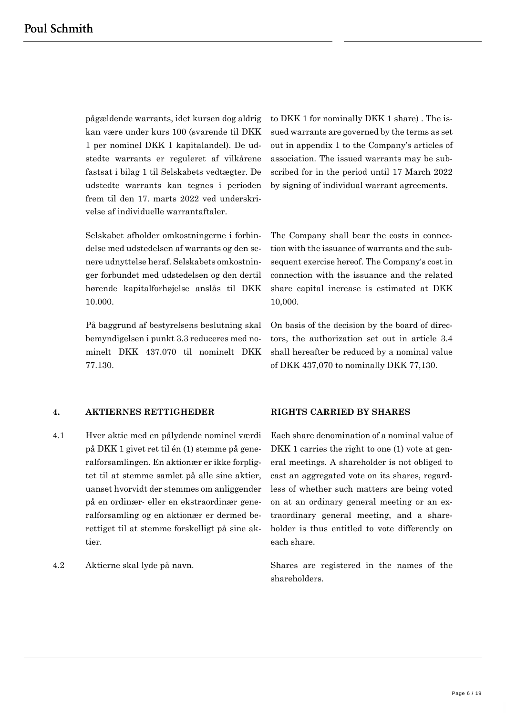pågældende warrants, idet kursen dog aldrig kan være under kurs 100 (svarende til DKK 1 per nominel DKK 1 kapitalandel). De udstedte warrants er reguleret af vilkårene fastsat i bilag 1 til Selskabets vedtægter. De udstedte warrants kan tegnes i perioden frem til den 17. marts 2022 ved underskrivelse af individuelle warrantaftaler.

Selskabet afholder omkostningerne i forbindelse med udstedelsen af warrants og den senere udnyttelse heraf. Selskabets omkostninger forbundet med udstedelsen og den dertil hørende kapitalforhøjelse anslås til DKK 10.000.

På baggrund af bestyrelsens beslutning skal bemyndigelsen i punkt 3.3 reduceres med nominelt DKK 437.070 til nominelt DKK 77.130.

### **4. AKTIERNES RETTIGHEDER RIGHTS CARRIED BY SHARES**

- 4.1 Hver aktie med en pålydende nominel værdi på DKK 1 givet ret til én (1) stemme på generalforsamlingen. En aktionær er ikke forpligtet til at stemme samlet på alle sine aktier, uanset hvorvidt der stemmes om anliggender på en ordinær- eller en ekstraordinær generalforsamling og en aktionær er dermed berettiget til at stemme forskelligt på sine aktier.
- 

to DKK 1 for nominally DKK 1 share) . The issued warrants are governed by the terms as set out in appendix 1 to the Company's articles of association. The issued warrants may be subscribed for in the period until 17 March 2022 by signing of individual warrant agreements.

The Company shall bear the costs in connection with the issuance of warrants and the subsequent exercise hereof. The Company's cost in connection with the issuance and the related share capital increase is estimated at DKK 10,000.

On basis of the decision by the board of directors, the authorization set out in article 3.4 shall hereafter be reduced by a nominal value of DKK 437,070 to nominally DKK 77,130.

Each share denomination of a nominal value of DKK 1 carries the right to one (1) vote at general meetings. A shareholder is not obliged to cast an aggregated vote on its shares, regardless of whether such matters are being voted on at an ordinary general meeting or an extraordinary general meeting, and a shareholder is thus entitled to vote differently on each share.

4.2 Aktierne skal lyde på navn. Shares are registered in the names of the shareholders.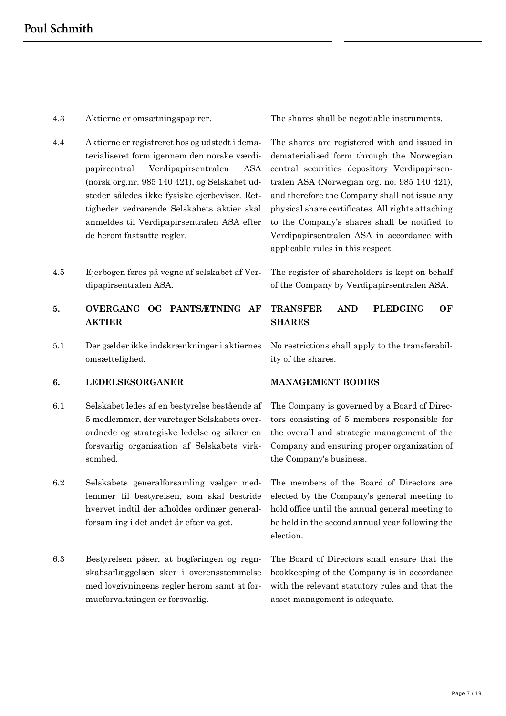- 
- 4.4 Aktierne er registreret hos og udstedt i dematerialiseret form igennem den norske værdipapircentral Verdipapirsentralen ASA (norsk org.nr. 985 140 421), og Selskabet udsteder således ikke fysiske ejerbeviser. Rettigheder vedrørende Selskabets aktier skal anmeldes til Verdipapirsentralen ASA efter de herom fastsatte regler.
- 4.5 Ejerbogen føres på vegne af selskabet af Verdipapirsentralen ASA.
- **5. OVERGANG OG PANTSÆTNING AF AKTIER**
- 5.1 Der gælder ikke indskrænkninger i aktiernes omsættelighed.

### **6. LEDELSESORGANER MANAGEMENT BODIES**

- 6.1 Selskabet ledes af en bestyrelse bestående af 5 medlemmer, der varetager Selskabets overordnede og strategiske ledelse og sikrer en forsvarlig organisation af Selskabets virksomhed.
- 6.2 Selskabets generalforsamling vælger medlemmer til bestyrelsen, som skal bestride hvervet indtil der afholdes ordinær generalforsamling i det andet år efter valget.
- 6.3 Bestyrelsen påser, at bogføringen og regnskabsaflæggelsen sker i overensstemmelse med lovgivningens regler herom samt at formueforvaltningen er forsvarlig.

4.3 Aktierne er omsætningspapirer. The shares shall be negotiable instruments.

The shares are registered with and issued in dematerialised form through the Norwegian central securities depository Verdipapirsentralen ASA (Norwegian org. no. 985 140 421), and therefore the Company shall not issue any physical share certificates. All rights attaching to the Company's shares shall be notified to Verdipapirsentralen ASA in accordance with applicable rules in this respect.

The register of shareholders is kept on behalf of the Company by Verdipapirsentralen ASA.

# **TRANSFER AND PLEDGING OF SHARES**

No restrictions shall apply to the transferability of the shares.

The Company is governed by a Board of Directors consisting of 5 members responsible for the overall and strategic management of the Company and ensuring proper organization of the Company's business.

The members of the Board of Directors are elected by the Company's general meeting to hold office until the annual general meeting to be held in the second annual year following the election.

The Board of Directors shall ensure that the bookkeeping of the Company is in accordance with the relevant statutory rules and that the asset management is adequate.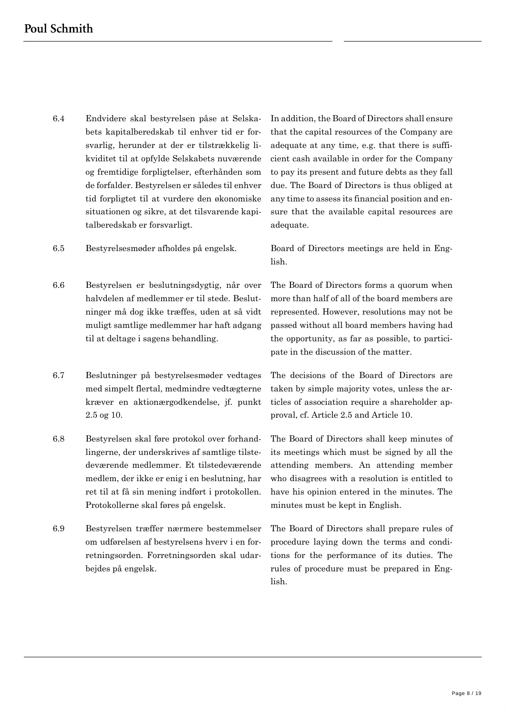- 6.4 Endvidere skal bestyrelsen påse at Selskabets kapitalberedskab til enhver tid er forsvarlig, herunder at der er tilstrækkelig likviditet til at opfylde Selskabets nuværende og fremtidige forpligtelser, efterhånden som de forfalder. Bestyrelsen er således til enhver tid forpligtet til at vurdere den økonomiske situationen og sikre, at det tilsvarende kapitalberedskab er forsvarligt.
- 6.5 Bestyrelsesmøder afholdes på engelsk. Board of Directors meetings are held in Eng-
- 6.6 Bestyrelsen er beslutningsdygtig, når over halvdelen af medlemmer er til stede. Beslutninger må dog ikke træffes, uden at så vidt muligt samtlige medlemmer har haft adgang til at deltage i sagens behandling.
- 6.7 Beslutninger på bestyrelsesmøder vedtages med simpelt flertal, medmindre vedtægterne kræver en aktionærgodkendelse, jf. punkt 2.5 og 10.
- 6.8 Bestyrelsen skal føre protokol over forhandlingerne, der underskrives af samtlige tilstedeværende medlemmer. Et tilstedeværende medlem, der ikke er enig i en beslutning, har ret til at få sin mening indført i protokollen. Protokollerne skal føres på engelsk.
- 6.9 Bestyrelsen træffer nærmere bestemmelser om udførelsen af bestyrelsens hverv i en forretningsorden. Forretningsorden skal udarbejdes på engelsk.

In addition, the Board of Directors shall ensure that the capital resources of the Company are adequate at any time, e.g. that there is sufficient cash available in order for the Company to pay its present and future debts as they fall due. The Board of Directors is thus obliged at any time to assess its financial position and ensure that the available capital resources are adequate.

lish.

The Board of Directors forms a quorum when more than half of all of the board members are represented. However, resolutions may not be passed without all board members having had the opportunity, as far as possible, to participate in the discussion of the matter.

The decisions of the Board of Directors are taken by simple majority votes, unless the articles of association require a shareholder approval, cf. Article 2.5 and Article 10.

The Board of Directors shall keep minutes of its meetings which must be signed by all the attending members. An attending member who disagrees with a resolution is entitled to have his opinion entered in the minutes. The minutes must be kept in English.

The Board of Directors shall prepare rules of procedure laying down the terms and conditions for the performance of its duties. The rules of procedure must be prepared in English.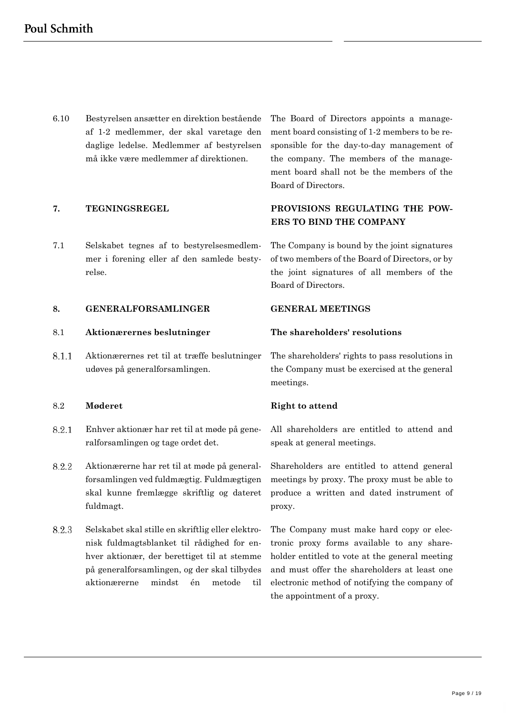6.10 Bestyrelsen ansætter en direktion bestående af 1-2 medlemmer, der skal varetage den daglige ledelse. Medlemmer af bestyrelsen må ikke være medlemmer af direktionen.

7.1 Selskabet tegnes af to bestyrelsesmedlemmer i forening eller af den samlede bestyrelse.

### **8. GENERALFORSAMLINGER GENERAL MEETINGS**

### 8.1 **Aktionærernes beslutninger The shareholders' resolutions**

8.1.1 Aktionærernes ret til at træffe beslutninger udøves på generalforsamlingen.

### 8.2 **Møderet Right to attend**

- 8.2.1 Enhver aktionær har ret til at møde på generalforsamlingen og tage ordet det.
- 8.2.2 Aktionærerne har ret til at møde på generalforsamlingen ved fuldmægtig. Fuldmægtigen skal kunne fremlægge skriftlig og dateret fuldmagt.
- 8.2.3 Selskabet skal stille en skriftlig eller elektronisk fuldmagtsblanket til rådighed for enhver aktionær, der berettiget til at stemme på generalforsamlingen, og der skal tilbydes aktionærerne mindst én metode til

The Board of Directors appoints a management board consisting of 1-2 members to be responsible for the day-to-day management of the company. The members of the management board shall not be the members of the Board of Directors.

# **7. TEGNINGSREGEL PROVISIONS REGULATING THE POW-ERS TO BIND THE COMPANY**

The Company is bound by the joint signatures of two members of the Board of Directors, or by the joint signatures of all members of the Board of Directors.

The shareholders' rights to pass resolutions in the Company must be exercised at the general meetings.

All shareholders are entitled to attend and speak at general meetings.

Shareholders are entitled to attend general meetings by proxy. The proxy must be able to produce a written and dated instrument of proxy.

The Company must make hard copy or electronic proxy forms available to any shareholder entitled to vote at the general meeting and must offer the shareholders at least one electronic method of notifying the company of the appointment of a proxy.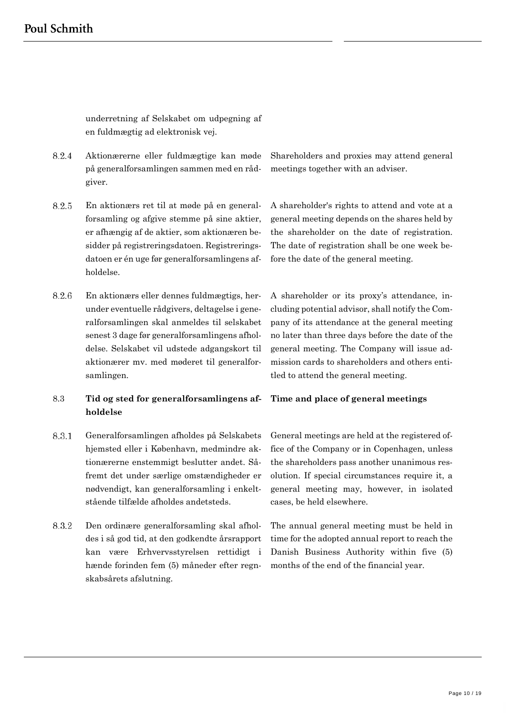underretning af Selskabet om udpegning af en fuldmægtig ad elektronisk vej.

- 8.2.4 Aktionærerne eller fuldmægtige kan møde på generalforsamlingen sammen med en rådgiver.
- 8.2.5 En aktionærs ret til at møde på en generalforsamling og afgive stemme på sine aktier, er afhængig af de aktier, som aktionæren besidder på registreringsdatoen. Registreringsdatoen er én uge før generalforsamlingens afholdelse.
- 8.2.6 En aktionærs eller dennes fuldmægtigs, herunder eventuelle rådgivers, deltagelse i generalforsamlingen skal anmeldes til selskabet senest 3 dage før generalforsamlingens afholdelse. Selskabet vil udstede adgangskort til aktionærer mv. med møderet til generalforsamlingen.

# 8.3 **Tid og sted for generalforsamlingens afholdelse**

- 8.3.1 Generalforsamlingen afholdes på Selskabets hjemsted eller i København, medmindre aktionærerne enstemmigt beslutter andet. Såfremt det under særlige omstændigheder er nødvendigt, kan generalforsamling i enkeltstående tilfælde afholdes andetsteds.
- 8.3.2 Den ordinære generalforsamling skal afholdes i så god tid, at den godkendte årsrapport kan være Erhvervsstyrelsen rettidigt i hænde forinden fem (5) måneder efter regnskabsårets afslutning.

Shareholders and proxies may attend general meetings together with an adviser.

A shareholder's rights to attend and vote at a general meeting depends on the shares held by the shareholder on the date of registration. The date of registration shall be one week before the date of the general meeting.

A shareholder or its proxy's attendance, including potential advisor, shall notify the Company of its attendance at the general meeting no later than three days before the date of the general meeting. The Company will issue admission cards to shareholders and others entitled to attend the general meeting.

### **Time and place of general meetings**

General meetings are held at the registered office of the Company or in Copenhagen, unless the shareholders pass another unanimous resolution. If special circumstances require it, a general meeting may, however, in isolated cases, be held elsewhere.

The annual general meeting must be held in time for the adopted annual report to reach the Danish Business Authority within five (5) months of the end of the financial year.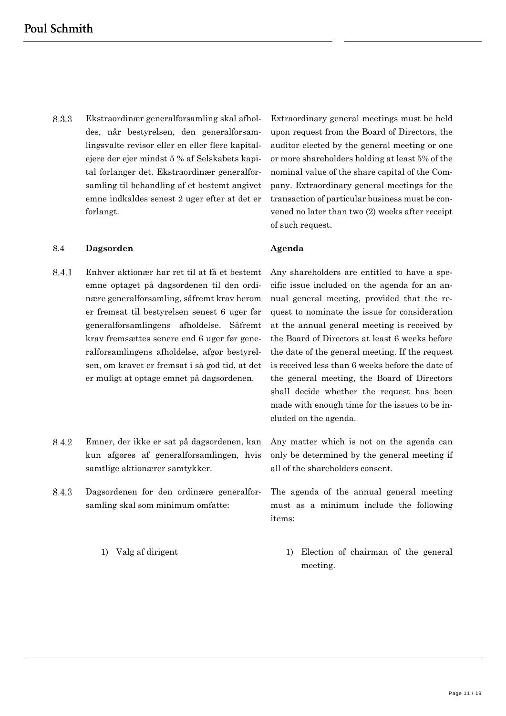8.3.3 Ekstraordinær generalforsamling skal afholdes, når bestyrelsen, den generalforsamlingsvalte revisor eller en eller flere kapitalejere der ejer mindst 5 % af Selskabets kapital forlanger det. Ekstraordinær generalforsamling til behandling af et bestemt angivet emne indkaldes senest 2 uger efter at det er forlangt.

### 8.4 **Dagsorden Agenda**

- 8.4.1 Enhver aktionær har ret til at få et bestemt emne optaget på dagsordenen til den ordinære generalforsamling, såfremt krav herom er fremsat til bestyrelsen senest 6 uger før generalforsamlingens afholdelse. Såfremt krav fremsættes senere end 6 uger før generalforsamlingens afholdelse, afgør bestyrelsen, om kravet er fremsat i så god tid, at det er muligt at optage emnet på dagsordenen.
- 8.4.2 Emner, der ikke er sat på dagsordenen, kan kun afgøres af generalforsamlingen, hvis samtlige aktionærer samtykker.
- 8.4.3 Dagsordenen for den ordinære generalforsamling skal som minimum omfatte:

Extraordinary general meetings must be held upon request from the Board of Directors, the auditor elected by the general meeting or one or more shareholders holding at least 5% of the nominal value of the share capital of the Company. Extraordinary general meetings for the transaction of particular business must be convened no later than two (2) weeks after receipt of such request.

Any shareholders are entitled to have a specific issue included on the agenda for an annual general meeting, provided that the request to nominate the issue for consideration at the annual general meeting is received by the Board of Directors at least 6 weeks before the date of the general meeting. If the request is received less than 6 weeks before the date of the general meeting, the Board of Directors shall decide whether the request has been made with enough time for the issues to be included on the agenda.

Any matter which is not on the agenda can only be determined by the general meeting if all of the shareholders consent.

The agenda of the annual general meeting must as a minimum include the following items:

1) Valg af dirigent 1) Election of chairman of the general meeting.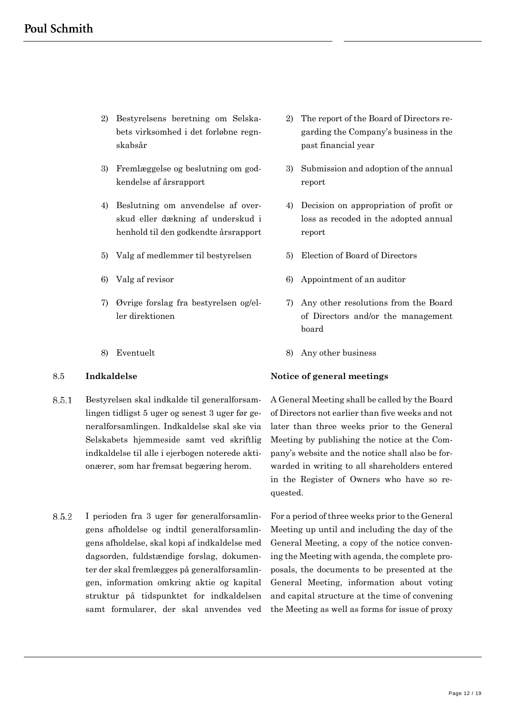- 2) Bestyrelsens beretning om Selskabets virksomhed i det forløbne regnskabsår
- 3) Fremlæggelse og beslutning om godkendelse af årsrapport
- 4) Beslutning om anvendelse af overskud eller dækning af underskud i henhold til den godkendte årsrapport
- 5) Valg af medlemmer til bestyrelsen 5) Election of Board of Directors
- 
- 7) Øvrige forslag fra bestyrelsen og/eller direktionen
- 

- 8.5.1 Bestyrelsen skal indkalde til generalforsamlingen tidligst 5 uger og senest 3 uger før generalforsamlingen. Indkaldelse skal ske via Selskabets hjemmeside samt ved skriftlig indkaldelse til alle i ejerbogen noterede aktionærer, som har fremsat begæring herom.
- 8.5.2 I perioden fra 3 uger før generalforsamlingens afholdelse og indtil generalforsamlingens afholdelse, skal kopi af indkaldelse med dagsorden, fuldstændige forslag, dokumenter der skal fremlægges på generalforsamlingen, information omkring aktie og kapital struktur på tidspunktet for indkaldelsen samt formularer, der skal anvendes ved
- 2) The report of the Board of Directors regarding the Company's business in the past financial year
- 3) Submission and adoption of the annual report
- 4) Decision on appropriation of profit or loss as recoded in the adopted annual report
- 
- 6) Valg af revisor 6) Appointment of an auditor
	- 7) Any other resolutions from the Board of Directors and/or the management board
- 8) Eventuelt 8) Any other business

### 8.5 **Indkaldelse Notice of general meetings**

A General Meeting shall be called by the Board of Directors not earlier than five weeks and not later than three weeks prior to the General Meeting by publishing the notice at the Company's website and the notice shall also be forwarded in writing to all shareholders entered in the Register of Owners who have so requested.

For a period of three weeks prior to the General Meeting up until and including the day of the General Meeting, a copy of the notice convening the Meeting with agenda, the complete proposals, the documents to be presented at the General Meeting, information about voting and capital structure at the time of convening the Meeting as well as forms for issue of proxy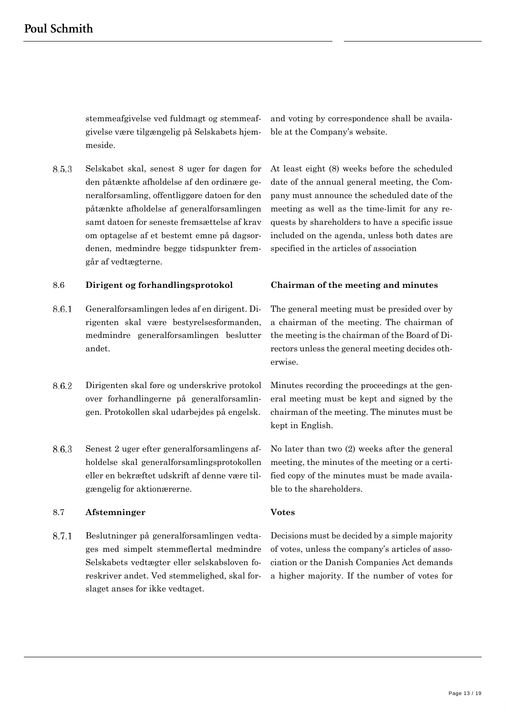stemmeafgivelse ved fuldmagt og stemmeafgivelse være tilgængelig på Selskabets hjemmeside.

8.5.3 Selskabet skal, senest 8 uger før dagen for den påtænkte afholdelse af den ordinære generalforsamling, offentliggøre datoen for den påtænkte afholdelse af generalforsamlingen samt datoen for seneste fremsættelse af krav om optagelse af et bestemt emne på dagsordenen, medmindre begge tidspunkter fremgår af vedtægterne.

and voting by correspondence shall be available at the Company's website.

At least eight (8) weeks before the scheduled date of the annual general meeting, the Company must announce the scheduled date of the meeting as well as the time-limit for any requests by shareholders to have a specific issue included on the agenda, unless both dates are specified in the articles of association

### 8.6 **Dirigent og forhandlingsprotokol Chairman of the meeting and minutes**

- 8.6.1 Generalforsamlingen ledes af en dirigent. Dirigenten skal være bestyrelsesformanden, medmindre generalforsamlingen beslutter andet.
- 8.6.2 Dirigenten skal føre og underskrive protokol over forhandlingerne på generalforsamlingen. Protokollen skal udarbejdes på engelsk.
- 8.6.3 Senest 2 uger efter generalforsamlingens afholdelse skal generalforsamlingsprotokollen eller en bekræftet udskrift af denne være tilgængelig for aktionærerne.

### 8.7 **Afstemninger Votes**

8.7.1 Beslutninger på generalforsamlingen vedtages med simpelt stemmeflertal medmindre Selskabets vedtægter eller selskabsloven foreskriver andet. Ved stemmelighed, skal forslaget anses for ikke vedtaget.

The general meeting must be presided over by a chairman of the meeting. The chairman of the meeting is the chairman of the Board of Directors unless the general meeting decides otherwise.

Minutes recording the proceedings at the general meeting must be kept and signed by the chairman of the meeting. The minutes must be kept in English.

No later than two (2) weeks after the general meeting, the minutes of the meeting or a certified copy of the minutes must be made available to the shareholders.

Decisions must be decided by a simple majority of votes, unless the company's articles of association or the Danish Companies Act demands a higher majority. If the number of votes for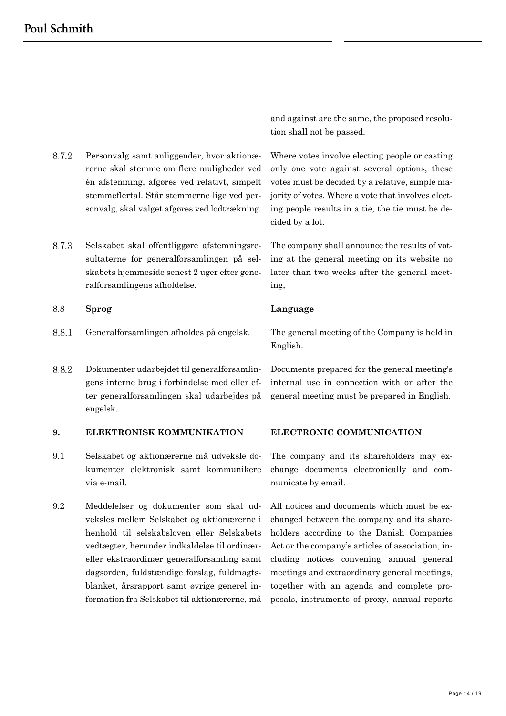8.7.2 Personvalg samt anliggender, hvor aktionærerne skal stemme om flere muligheder ved én afstemning, afgøres ved relativt, simpelt stemmeflertal. Står stemmerne lige ved personvalg, skal valget afgøres ved lodtrækning.

8.7.3 Selskabet skal offentliggøre afstemningsresultaterne for generalforsamlingen på selskabets hjemmeside senest 2 uger efter generalforsamlingens afholdelse.

### 8.8 **Sprog Language**

- 8.8.1
- 8.8.2 Dokumenter udarbejdet til generalforsamlingens interne brug i forbindelse med eller efter generalforsamlingen skal udarbejdes på engelsk.

### **9. ELEKTRONISK KOMMUNIKATION ELECTRONIC COMMUNICATION**

- 9.1 Selskabet og aktionærerne må udveksle dokumenter elektronisk samt kommunikere via e-mail.
- 9.2 Meddelelser og dokumenter som skal udveksles mellem Selskabet og aktionærerne i henhold til selskabsloven eller Selskabets vedtægter, herunder indkaldelse til ordinæreller ekstraordinær generalforsamling samt dagsorden, fuldstændige forslag, fuldmagtsblanket, årsrapport samt øvrige generel information fra Selskabet til aktionærerne, må

and against are the same, the proposed resolution shall not be passed.

Where votes involve electing people or casting only one vote against several options, these votes must be decided by a relative, simple majority of votes. Where a vote that involves electing people results in a tie, the tie must be decided by a lot.

The company shall announce the results of voting at the general meeting on its website no later than two weeks after the general meeting,

Generalforsamlingen afholdes på engelsk. The general meeting of the Company is held in English.

> Documents prepared for the general meeting's internal use in connection with or after the general meeting must be prepared in English.

The company and its shareholders may exchange documents electronically and communicate by email.

All notices and documents which must be exchanged between the company and its shareholders according to the Danish Companies Act or the company's articles of association, including notices convening annual general meetings and extraordinary general meetings, together with an agenda and complete proposals, instruments of proxy, annual reports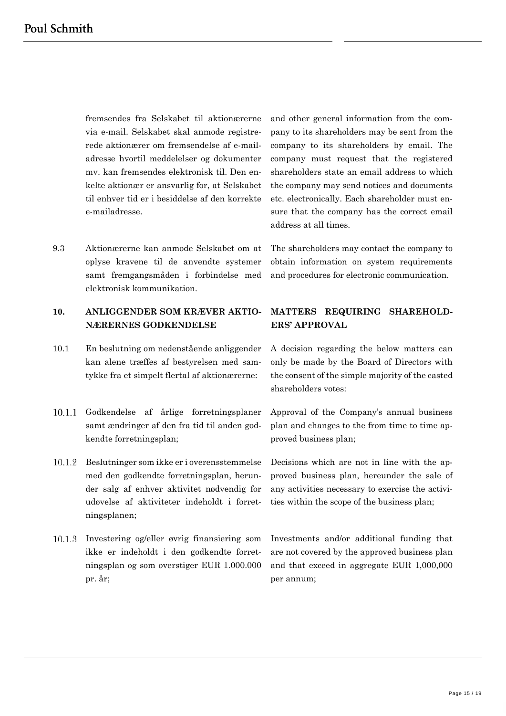fremsendes fra Selskabet til aktionærerne via e-mail. Selskabet skal anmode registrerede aktionærer om fremsendelse af e-mailadresse hvortil meddelelser og dokumenter mv. kan fremsendes elektronisk til. Den enkelte aktionær er ansvarlig for, at Selskabet til enhver tid er i besiddelse af den korrekte e-mailadresse.

9.3 Aktionærerne kan anmode Selskabet om at oplyse kravene til de anvendte systemer samt fremgangsmåden i forbindelse med elektronisk kommunikation.

# **10. ANLIGGENDER SOM KRÆVER AKTIO-NÆRERNES GODKENDELSE**

- 10.1 En beslutning om nedenstående anliggender kan alene træffes af bestyrelsen med samtykke fra et simpelt flertal af aktionærerne:
- 10.1.1 Godkendelse af årlige forretningsplaner samt ændringer af den fra tid til anden godkendte forretningsplan;
- Beslutninger som ikke er i overensstemmelse med den godkendte forretningsplan, herunder salg af enhver aktivitet nødvendig for udøvelse af aktiviteter indeholdt i forretningsplanen;
- Investering og/eller øvrig finansiering som ikke er indeholdt i den godkendte forretningsplan og som overstiger EUR 1.000.000 pr. år;

and other general information from the company to its shareholders may be sent from the company to its shareholders by email. The company must request that the registered shareholders state an email address to which the company may send notices and documents etc. electronically. Each shareholder must ensure that the company has the correct email address at all times.

The shareholders may contact the company to obtain information on system requirements and procedures for electronic communication.

# **MATTERS REQUIRING SHAREHOLD-ERS' APPROVAL**

A decision regarding the below matters can only be made by the Board of Directors with the consent of the simple majority of the casted shareholders votes:

Approval of the Company's annual business plan and changes to the from time to time approved business plan;

Decisions which are not in line with the approved business plan, hereunder the sale of any activities necessary to exercise the activities within the scope of the business plan;

Investments and/or additional funding that are not covered by the approved business plan and that exceed in aggregate EUR 1,000,000 per annum;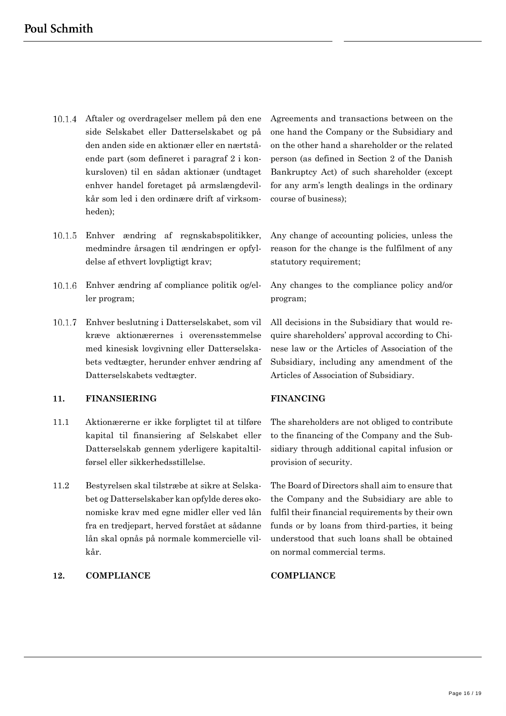- Aftaler og overdragelser mellem på den ene side Selskabet eller Datterselskabet og på den anden side en aktionær eller en nærtstående part (som defineret i paragraf 2 i konkursloven) til en sådan aktionær (undtaget enhver handel foretaget på armslængdevilkår som led i den ordinære drift af virksomheden);
- Enhver ændring af regnskabspolitikker, medmindre årsagen til ændringen er opfyldelse af ethvert lovpligtigt krav;
- Enhver ændring af compliance politik og/eller program;
- $10.1.7$ Enhver beslutning i Datterselskabet, som vil kræve aktionærernes i overensstemmelse med kinesisk lovgivning eller Datterselskabets vedtægter, herunder enhver ændring af Datterselskabets vedtægter.

### **11. FINANSIERING FINANCING**

- 11.1 Aktionærerne er ikke forpligtet til at tilføre kapital til finansiering af Selskabet eller Datterselskab gennem yderligere kapitaltilførsel eller sikkerhedsstillelse.
- 11.2 Bestyrelsen skal tilstræbe at sikre at Selskabet og Datterselskaber kan opfylde deres økonomiske krav med egne midler eller ved lån fra en tredjepart, herved forstået at sådanne lån skal opnås på normale kommercielle vilkår.

### **12. COMPLIANCE COMPLIANCE**

Agreements and transactions between on the one hand the Company or the Subsidiary and on the other hand a shareholder or the related person (as defined in Section 2 of the Danish Bankruptcy Act) of such shareholder (except for any arm's length dealings in the ordinary course of business);

Any change of accounting policies, unless the reason for the change is the fulfilment of any statutory requirement;

Any changes to the compliance policy and/or program;

All decisions in the Subsidiary that would require shareholders' approval according to Chinese law or the Articles of Association of the Subsidiary, including any amendment of the Articles of Association of Subsidiary.

The shareholders are not obliged to contribute to the financing of the Company and the Subsidiary through additional capital infusion or provision of security.

The Board of Directors shall aim to ensure that the Company and the Subsidiary are able to fulfil their financial requirements by their own funds or by loans from third-parties, it being understood that such loans shall be obtained on normal commercial terms.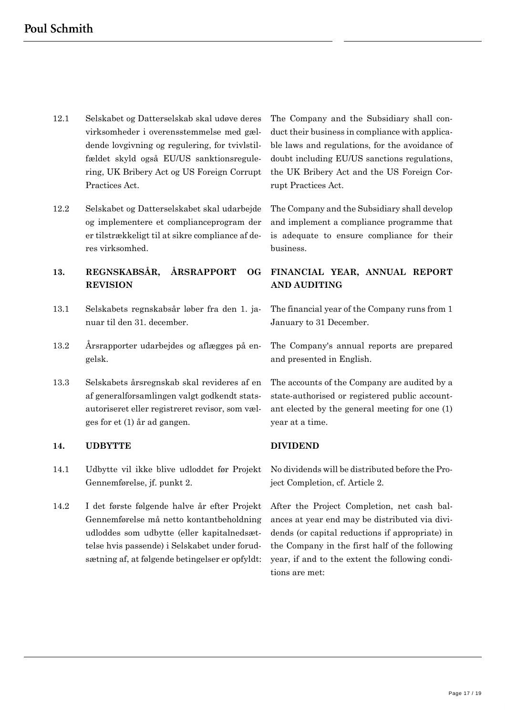- 12.1 Selskabet og Datterselskab skal udøve deres virksomheder i overensstemmelse med gældende lovgivning og regulering, for tvivlstilfældet skyld også EU/US sanktionsregulering, UK Bribery Act og US Foreign Corrupt Practices Act.
- 12.2 Selskabet og Datterselskabet skal udarbejde og implementere et complianceprogram der er tilstrækkeligt til at sikre compliance af deres virksomhed.

# **13. REGNSKABSÅR, ÅRSRAPPORT OG REVISION**

- 13.1 Selskabets regnskabsår løber fra den 1. januar til den 31. december.
- 13.2 Årsrapporter udarbejdes og aflægges på engelsk.
- 13.3 Selskabets årsregnskab skal revideres af en af generalforsamlingen valgt godkendt statsautoriseret eller registreret revisor, som vælges for et (1) år ad gangen.

### **14. UDBYTTE DIVIDEND**

- 14.1 Udbytte vil ikke blive udloddet før Projekt Gennemførelse, jf. punkt 2.
- 14.2 I det første følgende halve år efter Projekt Gennemførelse må netto kontantbeholdning udloddes som udbytte (eller kapitalnedsættelse hvis passende) i Selskabet under forudsætning af, at følgende betingelser er opfyldt:

The Company and the Subsidiary shall conduct their business in compliance with applicable laws and regulations, for the avoidance of doubt including EU/US sanctions regulations, the UK Bribery Act and the US Foreign Corrupt Practices Act.

The Company and the Subsidiary shall develop and implement a compliance programme that is adequate to ensure compliance for their business.

# **FINANCIAL YEAR, ANNUAL REPORT AND AUDITING**

The financial year of the Company runs from 1 January to 31 December.

The Company's annual reports are prepared and presented in English.

The accounts of the Company are audited by a state-authorised or registered public accountant elected by the general meeting for one (1) year at a time.

No dividends will be distributed before the Project Completion, cf. Article [2.](#page-1-0)

After the Project Completion, net cash balances at year end may be distributed via dividends (or capital reductions if appropriate) in the Company in the first half of the following year, if and to the extent the following conditions are met: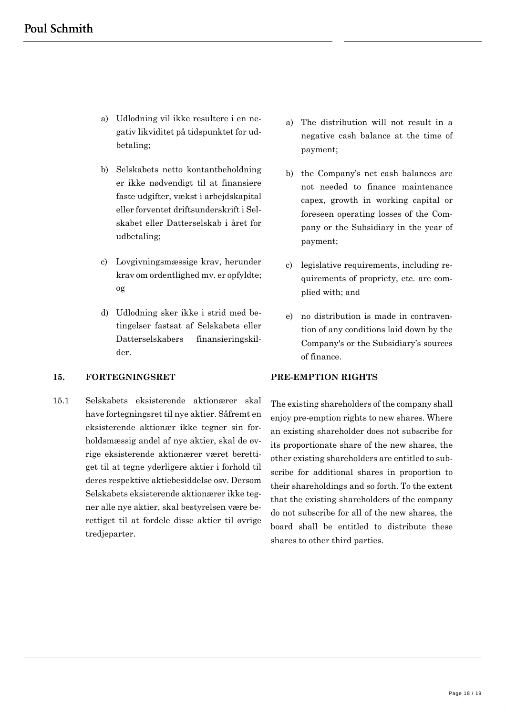- a) Udlodning vil ikke resultere i en negativ likviditet på tidspunktet for udbetaling;
- b) Selskabets netto kontantbeholdning er ikke nødvendigt til at finansiere faste udgifter, vækst i arbejdskapital eller forventet driftsunderskrift i Selskabet eller Datterselskab i året for udbetaling;
- c) Lovgivningsmæssige krav, herunder krav om ordentlighed mv. er opfyldte; og
- d) Udlodning sker ikke i strid med betingelser fastsat af Selskabets eller Datterselskabers finansieringskilder.

# **15. FORTEGNINGSRET PRE-EMPTION RIGHTS**

15.1 Selskabets eksisterende aktionærer skal have fortegningsret til nye aktier. Såfremt en eksisterende aktionær ikke tegner sin forholdsmæssig andel af nye aktier, skal de øvrige eksisterende aktionærer været berettiget til at tegne yderligere aktier i forhold til deres respektive aktiebesiddelse osv. Dersom Selskabets eksisterende aktionærer ikke tegner alle nye aktier, skal bestyrelsen være berettiget til at fordele disse aktier til øvrige tredjeparter.

- a) The distribution will not result in a negative cash balance at the time of payment;
- b) the Company's net cash balances are not needed to finance maintenance capex, growth in working capital or foreseen operating losses of the Company or the Subsidiary in the year of payment;
- c) legislative requirements, including requirements of propriety, etc. are complied with; and
- e) no distribution is made in contravention of any conditions laid down by the Company's or the Subsidiary's sources of finance.

The existing shareholders of the company shall enjoy pre-emption rights to new shares. Where an existing shareholder does not subscribe for its proportionate share of the new shares, the other existing shareholders are entitled to subscribe for additional shares in proportion to their shareholdings and so forth. To the extent that the existing shareholders of the company do not subscribe for all of the new shares, the board shall be entitled to distribute these shares to other third parties.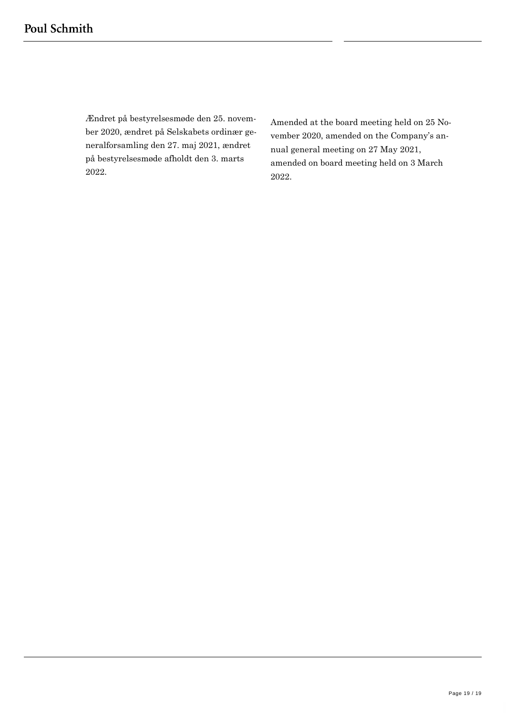Ændret på bestyrelsesmøde den 25. november 2020, ændret på Selskabets ordinær generalforsamling den 27. maj 2021, ændret på bestyrelsesmøde afholdt den 3. marts 2022.

Amended at the board meeting held on 25 November 2020, amended on the Company's annual general meeting on 27 May 2021, amended on board meeting held on 3 March 2022.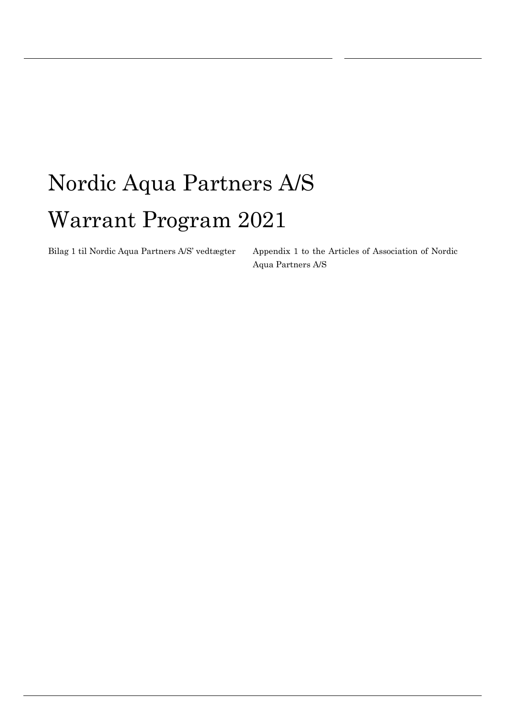# Nordic Aqua Partners A/S Warrant Program 2021

Bilag 1 til Nordic Aqua Partners A/S' vedtægter Appendix 1 to the Articles of Association of Nordic Aqua Partners A/S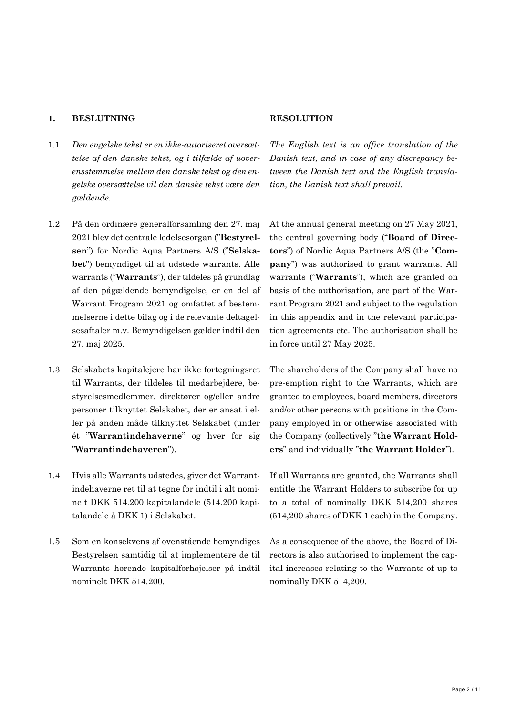# **1. BESLUTNING RESOLUTION**

- 1.1 *Den engelske tekst er en ikke-autoriseret oversættelse af den danske tekst, og i tilfælde af uoverensstemmelse mellem den danske tekst og den engelske oversættelse vil den danske tekst være den gældende.*
- 1.2 På den ordinære generalforsamling den 27. maj 2021 blev det centrale ledelsesorgan ("**Bestyrelsen**") for Nordic Aqua Partners A/S ("**Selskabet**") bemyndiget til at udstede warrants. Alle warrants ("**Warrants**"), der tildeles på grundlag af den pågældende bemyndigelse, er en del af Warrant Program 2021 og omfattet af bestemmelserne i dette bilag og i de relevante deltagelsesaftaler m.v. Bemyndigelsen gælder indtil den 27. maj 2025.
- 1.3 Selskabets kapitalejere har ikke fortegningsret til Warrants, der tildeles til medarbejdere, bestyrelsesmedlemmer, direktører og/eller andre personer tilknyttet Selskabet, der er ansat i eller på anden måde tilknyttet Selskabet (under ét "**Warrantindehaverne**" og hver for sig "**Warrantindehaveren**").
- 1.4 Hvis alle Warrants udstedes, giver det Warrantindehaverne ret til at tegne for indtil i alt nominelt DKK 514.200 kapitalandele (514.200 kapitalandele à DKK 1) i Selskabet.
- 1.5 Som en konsekvens af ovenstående bemyndiges Bestyrelsen samtidig til at implementere de til Warrants hørende kapitalforhøjelser på indtil nominelt DKK 514.200.

*The English text is an office translation of the Danish text, and in case of any discrepancy between the Danish text and the English translation, the Danish text shall prevail.*

At the annual general meeting on 27 May 2021, the central governing body ("**Board of Directors**") of Nordic Aqua Partners A/S (the "**Company**") was authorised to grant warrants. All warrants ("**Warrants**"), which are granted on basis of the authorisation, are part of the Warrant Program 2021 and subject to the regulation in this appendix and in the relevant participation agreements etc. The authorisation shall be in force until 27 May 2025.

The shareholders of the Company shall have no pre-emption right to the Warrants, which are granted to employees, board members, directors and/or other persons with positions in the Company employed in or otherwise associated with the Company (collectively "**the Warrant Holders**" and individually "**the Warrant Holder**").

If all Warrants are granted, the Warrants shall entitle the Warrant Holders to subscribe for up to a total of nominally DKK 514,200 shares (514,200 shares of DKK 1 each) in the Company.

As a consequence of the above, the Board of Directors is also authorised to implement the capital increases relating to the Warrants of up to nominally DKK 514,200.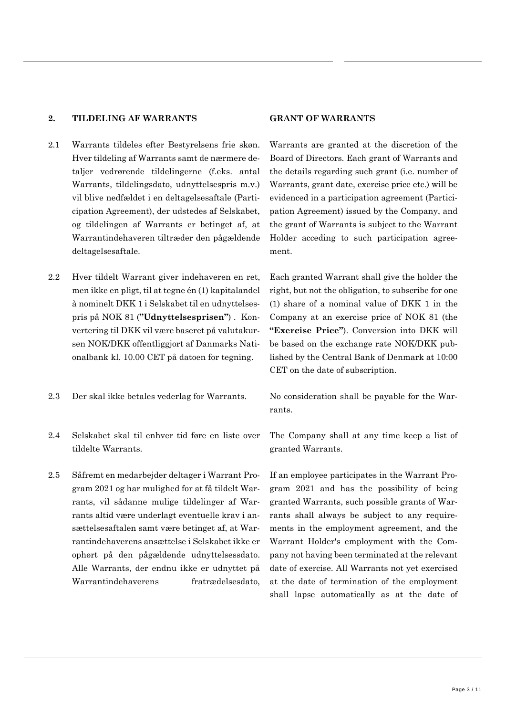# **2. TILDELING AF WARRANTS GRANT OF WARRANTS**

- 2.1 Warrants tildeles efter Bestyrelsens frie skøn. Hver tildeling af Warrants samt de nærmere detaljer vedrørende tildelingerne (f.eks. antal Warrants, tildelingsdato, udnyttelsespris m.v.) vil blive nedfældet i en deltagelsesaftale (Participation Agreement), der udstedes af Selskabet, og tildelingen af Warrants er betinget af, at Warrantindehaveren tiltræder den pågældende deltagelsesaftale.
- 2.2 Hver tildelt Warrant giver indehaveren en ret, men ikke en pligt, til at tegne én (1) kapitalandel à nominelt DKK 1 i Selskabet til en udnyttelsespris på NOK 81 (**"Udnyttelsesprisen"**) . Konvertering til DKK vil være baseret på valutakursen NOK/DKK offentliggjort af Danmarks Nationalbank kl. 10.00 CET på datoen for tegning.
- 2.3 Der skal ikke betales vederlag for Warrants. No consideration shall be payable for the War-
- 2.4 Selskabet skal til enhver tid føre en liste over tildelte Warrants.
- 2.5 Såfremt en medarbejder deltager i Warrant Program 2021 og har mulighed for at få tildelt Warrants, vil sådanne mulige tildelinger af Warrants altid være underlagt eventuelle krav i ansættelsesaftalen samt være betinget af, at Warrantindehaverens ansættelse i Selskabet ikke er ophørt på den pågældende udnyttelsessdato. Alle Warrants, der endnu ikke er udnyttet på Warrantindehaverens fratrædelsesdato,

Warrants are granted at the discretion of the Board of Directors. Each grant of Warrants and the details regarding such grant (i.e. number of Warrants, grant date, exercise price etc.) will be evidenced in a participation agreement (Participation Agreement) issued by the Company, and the grant of Warrants is subject to the Warrant Holder acceding to such participation agreement.

Each granted Warrant shall give the holder the right, but not the obligation, to subscribe for one (1) share of a nominal value of DKK 1 in the Company at an exercise price of NOK 81 (the **"Exercise Price"**). Conversion into DKK will be based on the exchange rate NOK/DKK published by the Central Bank of Denmark at 10:00 CET on the date of subscription.

rants.

The Company shall at any time keep a list of granted Warrants.

If an employee participates in the Warrant Program 2021 and has the possibility of being granted Warrants, such possible grants of Warrants shall always be subject to any requirements in the employment agreement, and the Warrant Holder's employment with the Company not having been terminated at the relevant date of exercise. All Warrants not yet exercised at the date of termination of the employment shall lapse automatically as at the date of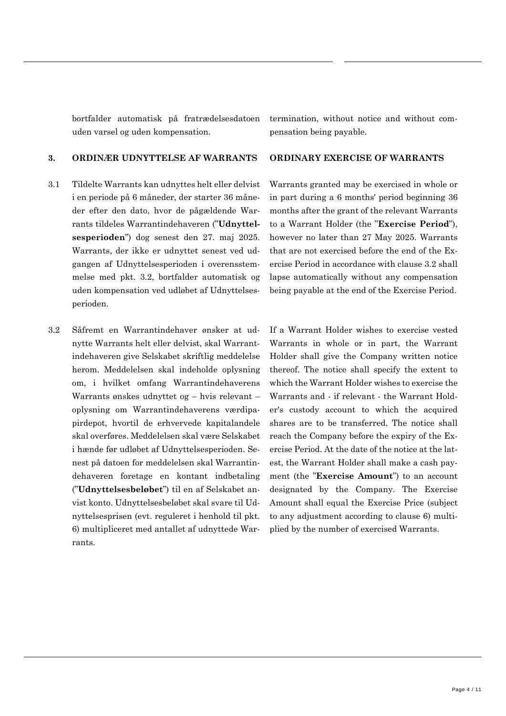bortfalder automatisk på fratrædelsesdatoen uden varsel og uden kompensation.

### **3. ORDINÆR UDNYTTELSE AF WARRANTS ORDINARY EXERCISE OF WARRANTS**

- 3.1 Tildelte Warrants kan udnyttes helt eller delvist i en periode på 6 måneder, der starter 36 måneder efter den dato, hvor de pågældende Warrants tildeles Warrantindehaveren ("**Udnyttelsesperioden**") dog senest den 27. maj 2025. Warrants, der ikke er udnyttet senest ved udgangen af Udnyttelsesperioden i overensstemmelse med pkt. [3.2,](#page-22-0) bortfalder automatisk og uden kompensation ved udløbet af Udnyttelsesperioden.
- <span id="page-22-0"></span>3.2 Såfremt en Warrantindehaver ønsker at udnytte Warrants helt eller delvist, skal Warrantindehaveren give Selskabet skriftlig meddelelse herom. Meddelelsen skal indeholde oplysning om, i hvilket omfang Warrantindehaverens Warrants ønskes udnyttet og – hvis relevant – oplysning om Warrantindehaverens værdipapirdepot, hvortil de erhvervede kapitalandele skal overføres. Meddelelsen skal være Selskabet i hænde før udløbet af Udnyttelsesperioden. Senest på datoen for meddelelsen skal Warrantindehaveren foretage en kontant indbetaling ("**Udnyttelsesbeløbet**") til en af Selskabet anvist konto. Udnyttelsesbeløbet skal svare til Udnyttelsesprisen (evt. reguleret i henhold til pkt. [6\)](#page-25-0) multipliceret med antallet af udnyttede Warrants.

termination, without notice and without compensation being payable.

Warrants granted may be exercised in whole or in part during a 6 months' period beginning 36 months after the grant of the relevant Warrants to a Warrant Holder (the "**Exercise Period**"), however no later than 27 May 2025. Warrants that are not exercised before the end of the Exercise Period in accordance with clause [3.2](#page-22-0) shall lapse automatically without any compensation being payable at the end of the Exercise Period.

If a Warrant Holder wishes to exercise vested Warrants in whole or in part, the Warrant Holder shall give the Company written notice thereof. The notice shall specify the extent to which the Warrant Holder wishes to exercise the Warrants and - if relevant - the Warrant Holder's custody account to which the acquired shares are to be transferred. The notice shall reach the Company before the expiry of the Exercise Period. At the date of the notice at the latest, the Warrant Holder shall make a cash payment (the "**Exercise Amount**") to an account designated by the Company. The Exercise Amount shall equal the Exercise Price (subject to any adjustment according to clause [6\)](#page-25-0) multiplied by the number of exercised Warrants.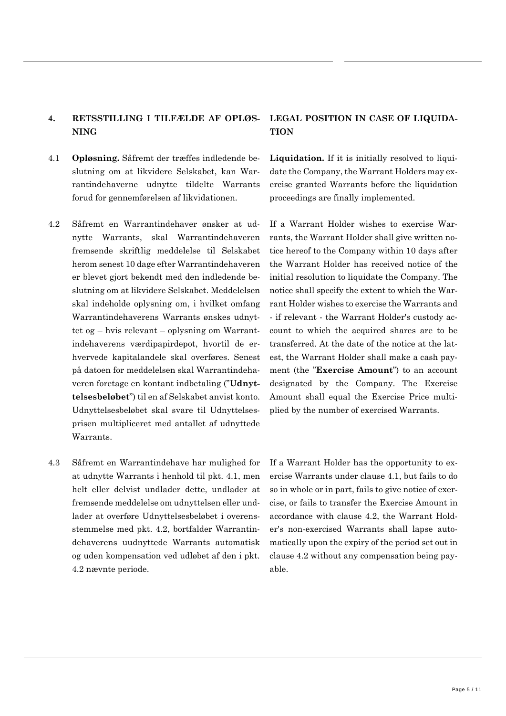# **4. RETSSTILLING I TILFÆLDE AF OPLØS-NING**

- <span id="page-23-0"></span>4.1 **Opløsning.** Såfremt der træffes indledende beslutning om at likvidere Selskabet, kan Warrantindehaverne udnytte tildelte Warrants forud for gennemførelsen af likvidationen.
- <span id="page-23-1"></span>4.2 Såfremt en Warrantindehaver ønsker at udnytte Warrants, skal Warrantindehaveren fremsende skriftlig meddelelse til Selskabet herom senest 10 dage efter Warrantindehaveren er blevet gjort bekendt med den indledende beslutning om at likvidere Selskabet. Meddelelsen skal indeholde oplysning om, i hvilket omfang Warrantindehaverens Warrants ønskes udnyttet og – hvis relevant – oplysning om Warrantindehaverens værdipapirdepot, hvortil de erhvervede kapitalandele skal overføres. Senest på datoen for meddelelsen skal Warrantindehaveren foretage en kontant indbetaling ("**Udnyttelsesbeløbet**") til en af Selskabet anvist konto. Udnyttelsesbeløbet skal svare til Udnyttelsesprisen multipliceret med antallet af udnyttede Warrants.
- 4.3 Såfremt en Warrantindehave har mulighed for at udnytte Warrants i henhold til pkt. [4.1,](#page-23-0) men helt eller delvist undlader dette, undlader at fremsende meddelelse om udnyttelsen eller undlader at overføre Udnyttelsesbeløbet i overensstemmelse med pkt. [4.2,](#page-23-1) bortfalder Warrantindehaverens uudnyttede Warrants automatisk og uden kompensation ved udløbet af den i pkt. [4.2](#page-23-1) nævnte periode.

# **LEGAL POSITION IN CASE OF LIQUIDA-TION**

**Liquidation.** If it is initially resolved to liquidate the Company, the Warrant Holders may exercise granted Warrants before the liquidation proceedings are finally implemented.

If a Warrant Holder wishes to exercise Warrants, the Warrant Holder shall give written notice hereof to the Company within 10 days after the Warrant Holder has received notice of the initial resolution to liquidate the Company. The notice shall specify the extent to which the Warrant Holder wishes to exercise the Warrants and - if relevant - the Warrant Holder's custody account to which the acquired shares are to be transferred. At the date of the notice at the latest, the Warrant Holder shall make a cash payment (the "**Exercise Amount**") to an account designated by the Company. The Exercise Amount shall equal the Exercise Price multiplied by the number of exercised Warrants.

If a Warrant Holder has the opportunity to exercise Warrants under clause [4.1,](#page-23-0) but fails to do so in whole or in part, fails to give notice of exercise, or fails to transfer the Exercise Amount in accordance with clause [4.2,](#page-23-1) the Warrant Holder's non-exercised Warrants shall lapse automatically upon the expiry of the period set out in clause [4.2](#page-23-1) without any compensation being payable.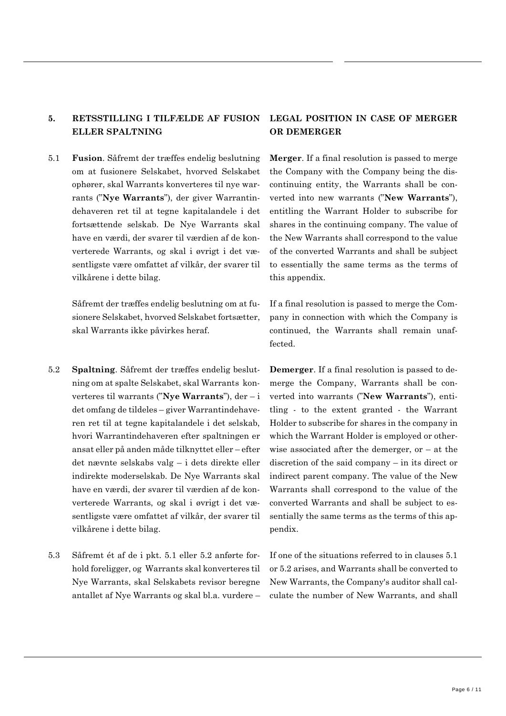# **5. RETSSTILLING I TILFÆLDE AF FUSION ELLER SPALTNING**

<span id="page-24-0"></span>5.1 **Fusion**. Såfremt der træffes endelig beslutning om at fusionere Selskabet, hvorved Selskabet ophører, skal Warrants konverteres til nye warrants ("**Nye Warrants**"), der giver Warrantindehaveren ret til at tegne kapitalandele i det fortsættende selskab. De Nye Warrants skal have en værdi, der svarer til værdien af de konverterede Warrants, og skal i øvrigt i det væsentligste være omfattet af vilkår, der svarer til vilkårene i dette bilag.

> Såfremt der træffes endelig beslutning om at fusionere Selskabet, hvorved Selskabet fortsætter, skal Warrants ikke påvirkes heraf.

- <span id="page-24-1"></span>5.2 **Spaltning**. Såfremt der træffes endelig beslutning om at spalte Selskabet, skal Warrants konverteres til warrants ("**Nye Warrants**"), der – i det omfang de tildeles – giver Warrantindehaveren ret til at tegne kapitalandele i det selskab, hvori Warrantindehaveren efter spaltningen er ansat eller på anden måde tilknyttet eller – efter det nævnte selskabs valg – i dets direkte eller indirekte moderselskab. De Nye Warrants skal have en værdi, der svarer til værdien af de konverterede Warrants, og skal i øvrigt i det væsentligste være omfattet af vilkår, der svarer til vilkårene i dette bilag.
- 5.3 Såfremt ét af de i pkt. [5.1](#page-24-0) eller [5.2](#page-24-1) anførte forhold foreligger, og Warrants skal konverteres til Nye Warrants, skal Selskabets revisor beregne antallet af Nye Warrants og skal bl.a. vurdere –

# **LEGAL POSITION IN CASE OF MERGER OR DEMERGER**

**Merger**. If a final resolution is passed to merge the Company with the Company being the discontinuing entity, the Warrants shall be converted into new warrants ("**New Warrants**"), entitling the Warrant Holder to subscribe for shares in the continuing company. The value of the New Warrants shall correspond to the value of the converted Warrants and shall be subject to essentially the same terms as the terms of this appendix.

If a final resolution is passed to merge the Company in connection with which the Company is continued, the Warrants shall remain unaffected.

**Demerger**. If a final resolution is passed to demerge the Company, Warrants shall be converted into warrants ("**New Warrants**"), entitling - to the extent granted - the Warrant Holder to subscribe for shares in the company in which the Warrant Holder is employed or otherwise associated after the demerger,  $or - at the$ discretion of the said company – in its direct or indirect parent company. The value of the New Warrants shall correspond to the value of the converted Warrants and shall be subject to essentially the same terms as the terms of this appendix.

If one of the situations referred to in clauses [5.1](#page-24-0) or [5.2](#page-24-1) arises, and Warrants shall be converted to New Warrants, the Company's auditor shall calculate the number of New Warrants, and shall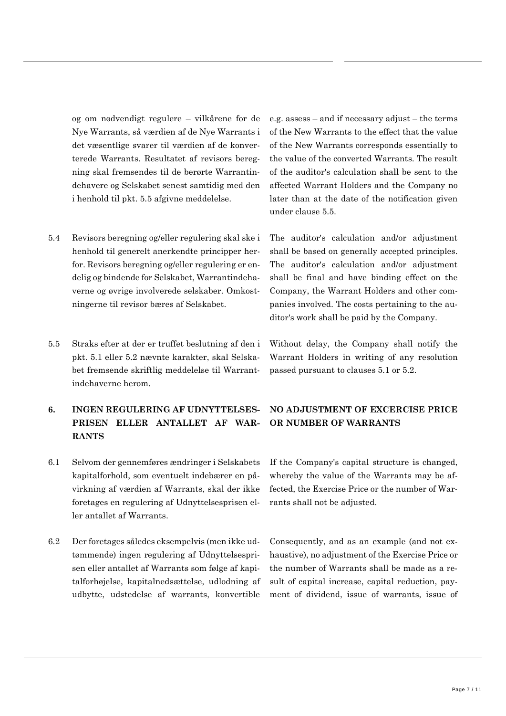og om nødvendigt regulere – vilkårene for de Nye Warrants, så værdien af de Nye Warrants i det væsentlige svarer til værdien af de konverterede Warrants. Resultatet af revisors beregning skal fremsendes til de berørte Warrantindehavere og Selskabet senest samtidig med den i henhold til pkt. [5.5](#page-25-1) afgivne meddelelse.

- 5.4 Revisors beregning og/eller regulering skal ske i henhold til generelt anerkendte principper herfor. Revisors beregning og/eller regulering er endelig og bindende for Selskabet, Warrantindehaverne og øvrige involverede selskaber. Omkostningerne til revisor bæres af Selskabet.
- <span id="page-25-1"></span>5.5 Straks efter at der er truffet beslutning af den i pkt. [5.1](#page-24-0) eller [5.2](#page-24-1) nævnte karakter, skal Selskabet fremsende skriftlig meddelelse til Warrantindehaverne herom.

# <span id="page-25-0"></span>**6. INGEN REGULERING AF UDNYTTELSES-PRISEN ELLER ANTALLET AF WAR-RANTS**

- 6.1 Selvom der gennemføres ændringer i Selskabets kapitalforhold, som eventuelt indebærer en påvirkning af værdien af Warrants, skal der ikke foretages en regulering af Udnyttelsesprisen eller antallet af Warrants.
- 6.2 Der foretages således eksempelvis (men ikke udtømmende) ingen regulering af Udnyttelsesprisen eller antallet af Warrants som følge af kapitalforhøjelse, kapitalnedsættelse, udlodning af udbytte, udstedelse af warrants, konvertible

e.g. assess – and if necessary adjust – the terms of the New Warrants to the effect that the value of the New Warrants corresponds essentially to the value of the converted Warrants. The result of the auditor's calculation shall be sent to the affected Warrant Holders and the Company no later than at the date of the notification given under clause [5.5.](#page-25-1)

The auditor's calculation and/or adjustment shall be based on generally accepted principles. The auditor's calculation and/or adjustment shall be final and have binding effect on the Company, the Warrant Holders and other companies involved. The costs pertaining to the auditor's work shall be paid by the Company.

Without delay, the Company shall notify the Warrant Holders in writing of any resolution passed pursuant to clauses [5.1](#page-24-0) or [5.2.](#page-24-1)

# **NO ADJUSTMENT OF EXCERCISE PRICE OR NUMBER OF WARRANTS**

If the Company's capital structure is changed, whereby the value of the Warrants may be affected, the Exercise Price or the number of Warrants shall not be adjusted.

Consequently, and as an example (and not exhaustive), no adjustment of the Exercise Price or the number of Warrants shall be made as a result of capital increase, capital reduction, payment of dividend, issue of warrants, issue of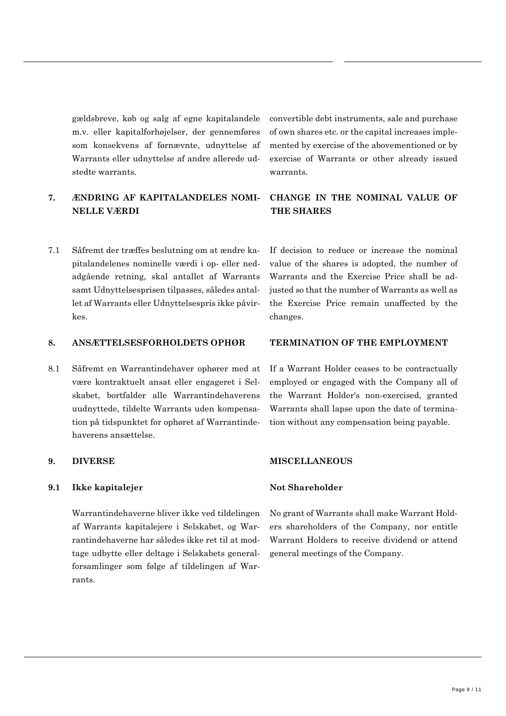gældsbreve, køb og salg af egne kapitalandele m.v. eller kapitalforhøjelser, der gennemføres som konsekvens af førnævnte, udnyttelse af Warrants eller udnyttelse af andre allerede udstedte warrants.

# **7. ÆNDRING AF KAPITALANDELES NOMI-NELLE VÆRDI**

7.1 Såfremt der træffes beslutning om at ændre kapitalandelenes nominelle værdi i op- eller nedadgående retning, skal antallet af Warrants samt Udnyttelsesprisen tilpasses, således antallet af Warrants eller Udnyttelsespris ikke påvirkes.

# **8. ANSÆTTELSESFORHOLDETS OPHØR TERMINATION OF THE EMPLOYMENT**

8.1 Såfremt en Warrantindehaver ophører med at være kontraktuelt ansat eller engageret i Selskabet, bortfalder alle Warrantindehaverens uudnyttede, tildelte Warrants uden kompensation på tidspunktet for ophøret af Warrantindehaverens ansættelse.

### **9.1 Ikke kapitalejer Not Shareholder**

Warrantindehaverne bliver ikke ved tildelingen af Warrants kapitalejere i Selskabet, og Warrantindehaverne har således ikke ret til at modtage udbytte eller deltage i Selskabets generalforsamlinger som følge af tildelingen af Warrants.

convertible debt instruments, sale and purchase of own shares etc. or the capital increases implemented by exercise of the abovementioned or by exercise of Warrants or other already issued warrants.

# **CHANGE IN THE NOMINAL VALUE OF THE SHARES**

If decision to reduce or increase the nominal value of the shares is adopted, the number of Warrants and the Exercise Price shall be adjusted so that the number of Warrants as well as the Exercise Price remain unaffected by the changes.

If a Warrant Holder ceases to be contractually employed or engaged with the Company all of the Warrant Holder's non-exercised, granted Warrants shall lapse upon the date of termination without any compensation being payable.

### **9. DIVERSE MISCELLANEOUS**

No grant of Warrants shall make Warrant Holders shareholders of the Company, nor entitle Warrant Holders to receive dividend or attend general meetings of the Company.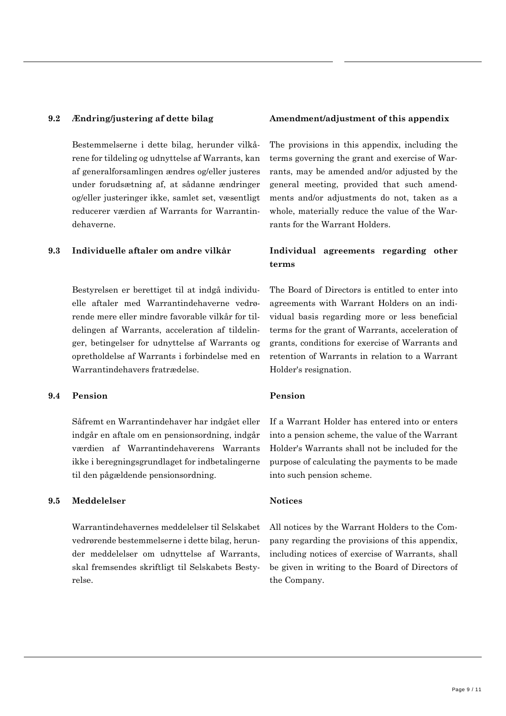Bestemmelserne i dette bilag, herunder vilkårene for tildeling og udnyttelse af Warrants, kan af generalforsamlingen ændres og/eller justeres under forudsætning af, at sådanne ændringer og/eller justeringer ikke, samlet set, væsentligt reducerer værdien af Warrants for Warrantindehaverne.

Bestyrelsen er berettiget til at indgå individuelle aftaler med Warrantindehaverne vedrørende mere eller mindre favorable vilkår for tildelingen af Warrants, acceleration af tildelinger, betingelser for udnyttelse af Warrants og opretholdelse af Warrants i forbindelse med en Warrantindehavers fratrædelse.

# **9.4 Pension Pension**

Såfremt en Warrantindehaver har indgået eller indgår en aftale om en pensionsordning, indgår værdien af Warrantindehaverens Warrants ikke i beregningsgrundlaget for indbetalingerne til den pågældende pensionsordning.

### **9.5 Meddelelser Notices**

Warrantindehavernes meddelelser til Selskabet vedrørende bestemmelserne i dette bilag, herunder meddelelser om udnyttelse af Warrants, skal fremsendes skriftligt til Selskabets Bestyrelse.

# **9.2 Ændring/justering af dette bilag Amendment/adjustment of this appendix**

The provisions in this appendix, including the terms governing the grant and exercise of Warrants, may be amended and/or adjusted by the general meeting, provided that such amendments and/or adjustments do not, taken as a whole, materially reduce the value of the Warrants for the Warrant Holders.

# **9.3 Individuelle aftaler om andre vilkår Individual agreements regarding other terms**

The Board of Directors is entitled to enter into agreements with Warrant Holders on an individual basis regarding more or less beneficial terms for the grant of Warrants, acceleration of grants, conditions for exercise of Warrants and retention of Warrants in relation to a Warrant Holder's resignation.

If a Warrant Holder has entered into or enters into a pension scheme, the value of the Warrant Holder's Warrants shall not be included for the purpose of calculating the payments to be made into such pension scheme.

All notices by the Warrant Holders to the Company regarding the provisions of this appendix, including notices of exercise of Warrants, shall be given in writing to the Board of Directors of the Company.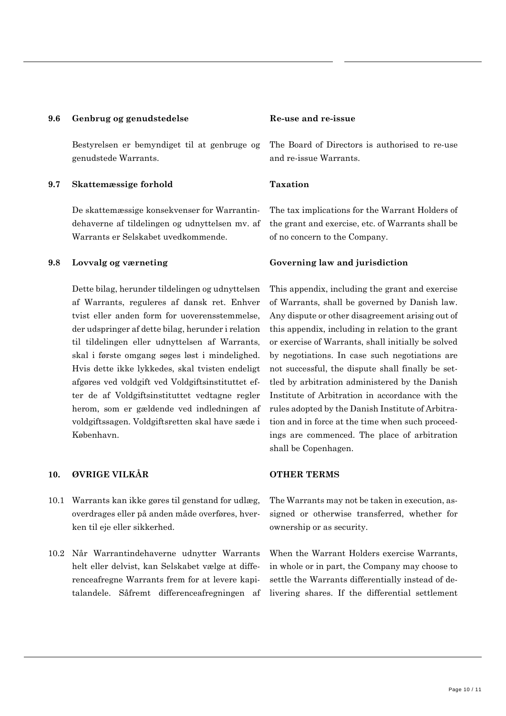### **9.6 Genbrug og genudstedelse Re-use and re-issue**

Bestyrelsen er bemyndiget til at genbruge og genudstede Warrants.

# **9.7 Skattemæssige forhold Taxation**

De skattemæssige konsekvenser for Warrantindehaverne af tildelingen og udnyttelsen mv. af Warrants er Selskabet uvedkommende.

Dette bilag, herunder tildelingen og udnyttelsen af Warrants, reguleres af dansk ret. Enhver tvist eller anden form for uoverensstemmelse, der udspringer af dette bilag, herunder i relation til tildelingen eller udnyttelsen af Warrants, skal i første omgang søges løst i mindelighed. Hvis dette ikke lykkedes, skal tvisten endeligt afgøres ved voldgift ved Voldgiftsinstituttet efter de af Voldgiftsinstituttet vedtagne regler herom, som er gældende ved indledningen af voldgiftssagen. Voldgiftsretten skal have sæde i København.

# **10. ØVRIGE VILKÅR OTHER TERMS**

- 10.1 Warrants kan ikke gøres til genstand for udlæg, overdrages eller på anden måde overføres, hverken til eje eller sikkerhed.
- 10.2 Når Warrantindehaverne udnytter Warrants helt eller delvist, kan Selskabet vælge at differenceafregne Warrants frem for at levere kapitalandele. Såfremt differenceafregningen af

The Board of Directors is authorised to re-use and re-issue Warrants.

The tax implications for the Warrant Holders of the grant and exercise, etc. of Warrants shall be of no concern to the Company.

### **9.8 Lovvalg og værneting Governing law and jurisdiction**

This appendix, including the grant and exercise of Warrants, shall be governed by Danish law. Any dispute or other disagreement arising out of this appendix, including in relation to the grant or exercise of Warrants, shall initially be solved by negotiations. In case such negotiations are not successful, the dispute shall finally be settled by arbitration administered by the Danish Institute of Arbitration in accordance with the rules adopted by the Danish Institute of Arbitration and in force at the time when such proceedings are commenced. The place of arbitration shall be Copenhagen.

The Warrants may not be taken in execution, assigned or otherwise transferred, whether for ownership or as security.

When the Warrant Holders exercise Warrants, in whole or in part, the Company may choose to settle the Warrants differentially instead of delivering shares. If the differential settlement